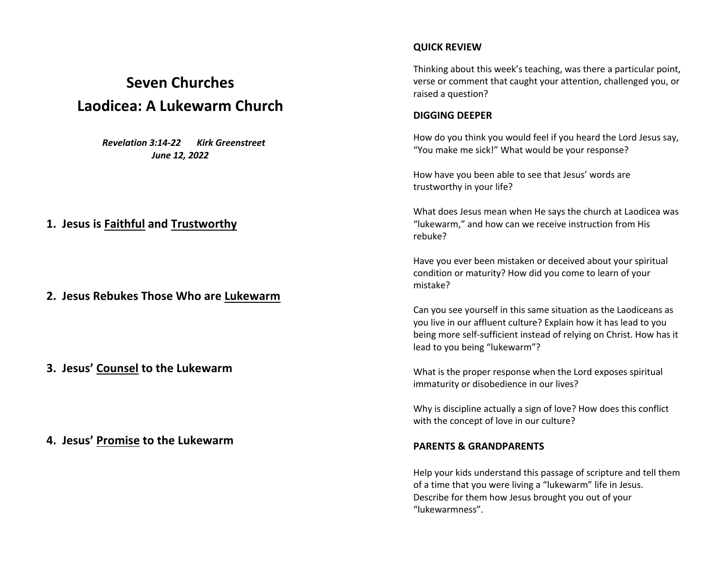# **Seven Churches Laodicea: A Lukewarm Church**

 *Revelation 3:14-22 Kirk Greenstreet June 12, 2022*

### **1. Jesus is Faithful and Trustworthy**

**2. Jesus Rebukes Those Who are Lukewarm**

**3. Jesus' Counsel to the Lukewarm**

**4. Jesus' Promise to the Lukewarm**

#### **QUICK REVIEW**

Thinking about this week's teaching, was there a particular point, verse or comment that caught your attention, challenged you, or raised a question?

#### **DIGGING DEEPER**

How do you think you would feel if you heard the Lord Jesus say, "You make me sick!" What would be your response?

How have you been able to see that Jesus' words are trustworthy in your life?

What does Jesus mean when He says the church at Laodicea was "lukewarm," and how can we receive instruction from His rebuke?

Have you ever been mistaken or deceived about your spiritual condition or maturity? How did you come to learn of your mistake?

Can you see yourself in this same situation as the Laodiceans as you live in our affluent culture? Explain how it has lead to you being more self-sufficient instead of relying on Christ. How has it lead to you being "lukewarm"?

What is the proper response when the Lord exposes spiritual immaturity or disobedience in our lives?

Why is discipline actually a sign of love? How does this conflict with the concept of love in our culture?

#### **PARENTS & GRANDPARENTS**

Help your kids understand this passage of scripture and tell them of a time that you were living a "lukewarm" life in Jesus. Describe for them how Jesus brought you out of your "lukewarmness".